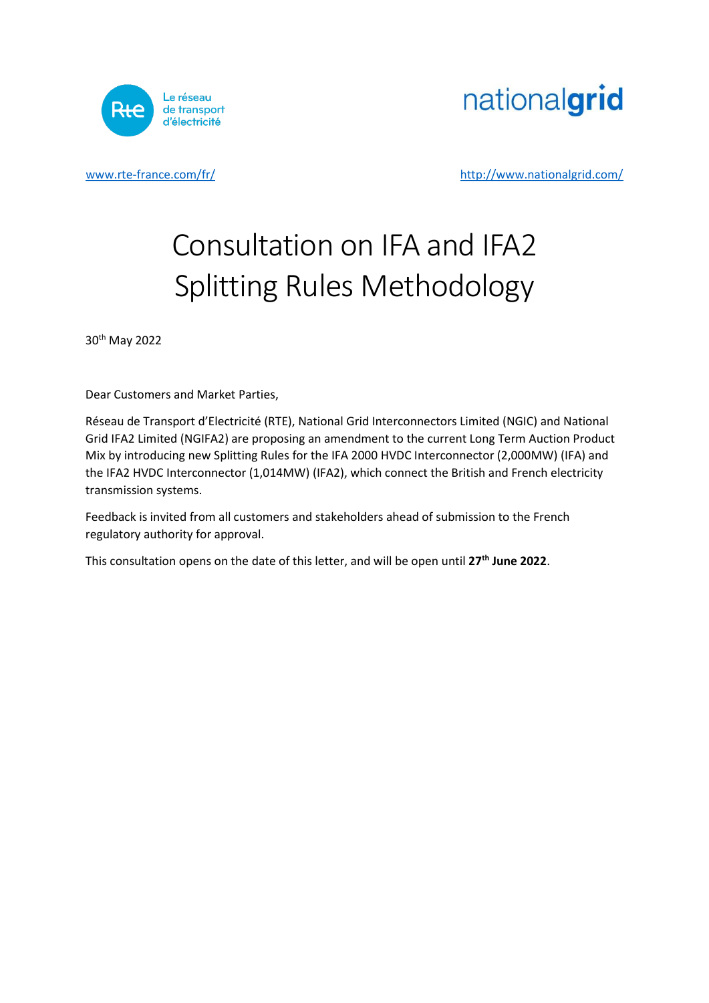

nationalgrid

[www.rte](http://www.rte/)[-france.com/fr/](http://www.rte-france.com/fr/) <http://www.nationalgrid.com/>

# Consultation on IFA and IFA2 Splitting Rules Methodology

30th May 2022

Dear Customers and Market Parties,

Réseau de Transport d'Electricité (RTE), National Grid Interconnectors Limited (NGIC) and National Grid IFA2 Limited (NGIFA2) are proposing an amendment to the current Long Term Auction Product Mix by introducing new Splitting Rules for the IFA 2000 HVDC Interconnector (2,000MW) (IFA) and the IFA2 HVDC Interconnector (1,014MW) (IFA2), which connect the British and French electricity transmission systems.

Feedback is invited from all customers and stakeholders ahead of submission to the French regulatory authority for approval.

This consultation opens on the date of this letter, and will be open until **27th June 2022**.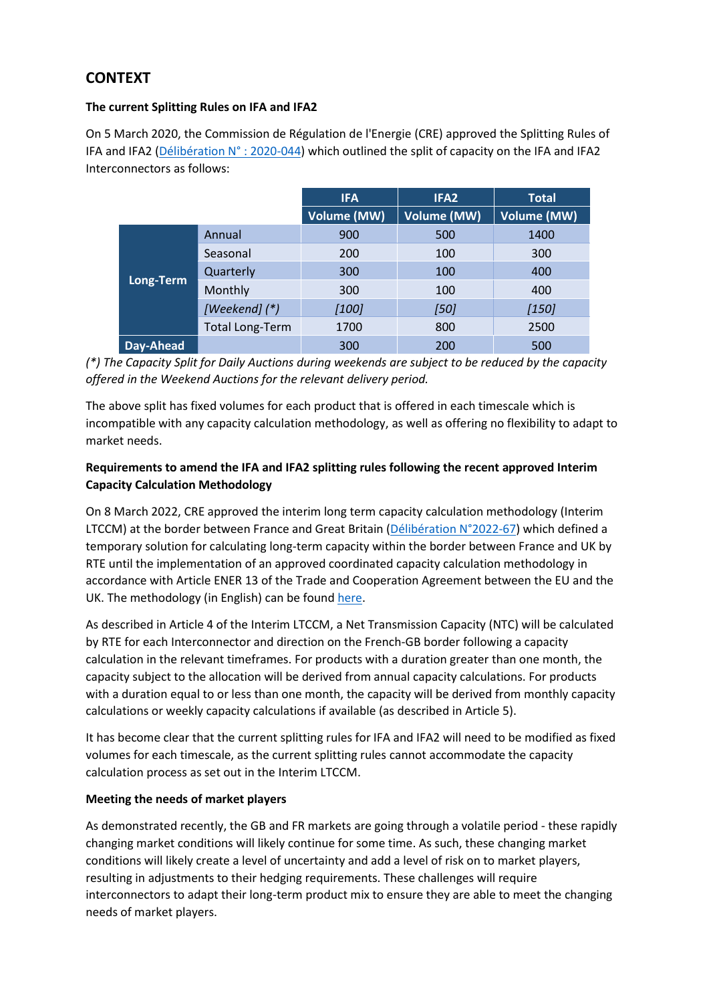## **CONTEXT**

#### **The current Splitting Rules on IFA and IFA2**

On 5 March 2020, the Commission de Régulation de l'Energie (CRE) approved the Splitting Rules of IFA and IFA2 [\(Délibération N° : 2020-044\)](https://www.cre.fr/Documents/Deliberations/Avis/regles-de-repartition-des-capacites-sur-les-interconnexions-electriques-entre-la-france-et-la-grande-bretagne-ifa-et-ifa2) which outlined the split of capacity on the IFA and IFA2 Interconnectors as follows:

|           |                        | <b>IFA</b>         | IFA <sub>2</sub>   | <b>Total</b>       |
|-----------|------------------------|--------------------|--------------------|--------------------|
|           |                        | <b>Volume (MW)</b> | <b>Volume (MW)</b> | <b>Volume (MW)</b> |
| Long-Term | Annual                 | 900                | 500                | 1400               |
|           | Seasonal               | 200                | 100                | 300                |
|           | Quarterly              | 300                | 100                | 400                |
|           | Monthly                | 300                | 100                | 400                |
|           | [Weekend] (*)          | $[100]$            | $[50]$             | $[150]$            |
|           | <b>Total Long-Term</b> | 1700               | 800                | 2500               |
| Day-Ahead |                        | 300                | 200                | 500                |

#### *(\*) The Capacity Split for Daily Auctions during weekends are subject to be reduced by the capacity offered in the Weekend Auctions for the relevant delivery period.*

The above split has fixed volumes for each product that is offered in each timescale which is incompatible with any capacity calculation methodology, as well as offering no flexibility to adapt to market needs.

#### **Requirements to amend the IFA and IFA2 splitting rules following the recent approved Interim Capacity Calculation Methodology**

On 8 March 2022, CRE approved the interim long term capacity calculation methodology (Interim LTCCM) at the border between France and Great Britain [\(Délibération N°2022-67\)](https://www.cre.fr/Documents/Deliberations/Approbation/methodologie-de-calcul-de-capacite-long-terme-interimaire-a-la-frontiere-entre-la-france-et-la-grande-bretagne) which defined a temporary solution for calculating long-term capacity within the border between France and UK by RTE until the implementation of an approved coordinated capacity calculation methodology in accordance with Article ENER 13 of the Trade and Cooperation Agreement between the EU and the UK. The methodology (in English) can be foun[d here.](https://www.services-rte.com/files/live/sites/services-rte/files/pdf/interco/LT%20CC%20Interim%20Solution.pdf)

As described in Article 4 of the Interim LTCCM, a Net Transmission Capacity (NTC) will be calculated by RTE for each Interconnector and direction on the French-GB border following a capacity calculation in the relevant timeframes. For products with a duration greater than one month, the capacity subject to the allocation will be derived from annual capacity calculations. For products with a duration equal to or less than one month, the capacity will be derived from monthly capacity calculations or weekly capacity calculations if available (as described in Article 5).

It has become clear that the current splitting rules for IFA and IFA2 will need to be modified as fixed volumes for each timescale, as the current splitting rules cannot accommodate the capacity calculation process as set out in the Interim LTCCM.

#### **Meeting the needs of market players**

As demonstrated recently, the GB and FR markets are going through a volatile period - these rapidly changing market conditions will likely continue for some time. As such, these changing market conditions will likely create a level of uncertainty and add a level of risk on to market players, resulting in adjustments to their hedging requirements. These challenges will require interconnectors to adapt their long-term product mix to ensure they are able to meet the changing needs of market players.